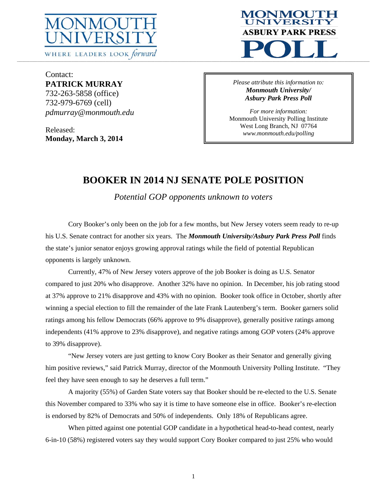



Contact: **PATRICK MURRAY**  732-263-5858 (office) 732-979-6769 (cell) *pdmurray@monmouth.edu* 

Released: **Monday, March 3, 2014**  *Please attribute this information to: Monmouth University/ Asbury Park Press Poll* 

*For more information:*  Monmouth University Polling Institute West Long Branch, NJ 07764 *www.monmouth.edu/polling* 

# **BOOKER IN 2014 NJ SENATE POLE POSITION**

*Potential GOP opponents unknown to voters* 

Cory Booker's only been on the job for a few months, but New Jersey voters seem ready to re-up his U.S. Senate contract for another six years. The *Monmouth University/Asbury Park Press Poll* finds the state's junior senator enjoys growing approval ratings while the field of potential Republican opponents is largely unknown.

 Currently, 47% of New Jersey voters approve of the job Booker is doing as U.S. Senator compared to just 20% who disapprove. Another 32% have no opinion. In December, his job rating stood at 37% approve to 21% disapprove and 43% with no opinion. Booker took office in October, shortly after winning a special election to fill the remainder of the late Frank Lautenberg's term. Booker garners solid ratings among his fellow Democrats (66% approve to 9% disapprove), generally positive ratings among independents (41% approve to 23% disapprove), and negative ratings among GOP voters (24% approve to 39% disapprove).

 "New Jersey voters are just getting to know Cory Booker as their Senator and generally giving him positive reviews," said Patrick Murray, director of the Monmouth University Polling Institute. "They feel they have seen enough to say he deserves a full term."

 A majority (55%) of Garden State voters say that Booker should be re-elected to the U.S. Senate this November compared to 33% who say it is time to have someone else in office. Booker's re-election is endorsed by 82% of Democrats and 50% of independents. Only 18% of Republicans agree.

 When pitted against one potential GOP candidate in a hypothetical head-to-head contest, nearly 6-in-10 (58%) registered voters say they would support Cory Booker compared to just 25% who would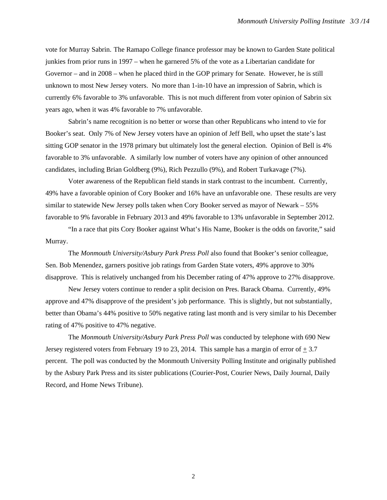vote for Murray Sabrin. The Ramapo College finance professor may be known to Garden State political junkies from prior runs in 1997 – when he garnered 5% of the vote as a Libertarian candidate for Governor – and in 2008 – when he placed third in the GOP primary for Senate. However, he is still unknown to most New Jersey voters. No more than 1-in-10 have an impression of Sabrin, which is currently 6% favorable to 3% unfavorable. This is not much different from voter opinion of Sabrin six years ago, when it was 4% favorable to 7% unfavorable.

 Sabrin's name recognition is no better or worse than other Republicans who intend to vie for Booker's seat. Only 7% of New Jersey voters have an opinion of Jeff Bell, who upset the state's last sitting GOP senator in the 1978 primary but ultimately lost the general election. Opinion of Bell is 4% favorable to 3% unfavorable. A similarly low number of voters have any opinion of other announced candidates, including Brian Goldberg (9%), Rich Pezzullo (9%), and Robert Turkavage (7%).

 Voter awareness of the Republican field stands in stark contrast to the incumbent. Currently, 49% have a favorable opinion of Cory Booker and 16% have an unfavorable one. These results are very similar to statewide New Jersey polls taken when Cory Booker served as mayor of Newark – 55% favorable to 9% favorable in February 2013 and 49% favorable to 13% unfavorable in September 2012.

 "In a race that pits Cory Booker against What's His Name, Booker is the odds on favorite," said Murray.

 The *Monmouth University/Asbury Park Press Poll* also found that Booker's senior colleague, Sen. Bob Menendez, garners positive job ratings from Garden State voters, 49% approve to 30% disapprove. This is relatively unchanged from his December rating of 47% approve to 27% disapprove.

 New Jersey voters continue to render a split decision on Pres. Barack Obama. Currently, 49% approve and 47% disapprove of the president's job performance. This is slightly, but not substantially, better than Obama's 44% positive to 50% negative rating last month and is very similar to his December rating of 47% positive to 47% negative.

 The *Monmouth University/Asbury Park Press Poll* was conducted by telephone with 690 New Jersey registered voters from February 19 to 23, 2014. This sample has a margin of error of  $\pm$  3.7 percent. The poll was conducted by the Monmouth University Polling Institute and originally published by the Asbury Park Press and its sister publications (Courier-Post, Courier News, Daily Journal, Daily Record, and Home News Tribune).

2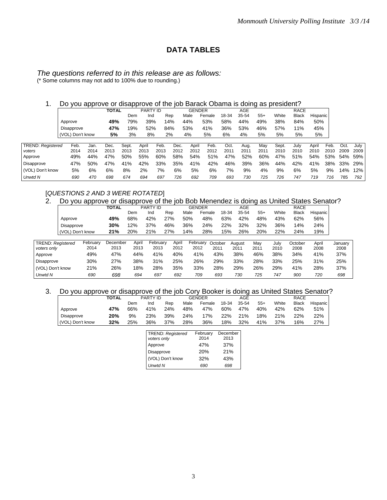## **DATA TABLES**

## *The questions referred to in this release are as follows:*

(\* Some columns may not add to 100% due to rounding.)

### 1. Do you approve or disapprove of the job Barack Obama is doing as president?

|                          |         |                  |      | <b>TOTAL</b> |       | PARTY ID |      |      | <b>GENDER</b> |        |       | AGE   | $\cdot$ $\cdot$ $\cdot$ $\cdot$ |       | <b>RACE</b>  |          |      |      |      |
|--------------------------|---------|------------------|------|--------------|-------|----------|------|------|---------------|--------|-------|-------|---------------------------------|-------|--------------|----------|------|------|------|
|                          |         |                  |      |              | Dem   | Ind      | Rep  |      | Male          | Female | 18-34 | 35-54 | $55+$                           | White | <b>Black</b> | Hispanic |      |      |      |
|                          | Approve |                  |      | 49%          | 79%   | 39%      | 14%  |      | 44%           | 53%    | 58%   | 44%   | 49%                             | 38%   | 84%          | 50%      |      |      |      |
|                          |         | Disapprove       |      | 47%          | 19%   | 52%      | 84%  |      | 53%           | 41%    | 36%   | 53%   | 46%                             | 57%   | 11%          | 45%      |      |      |      |
|                          |         | (VOL) Don't know |      | 5%           | 3%    | 8%       | 2%   |      | 4%            | 5%     | 6%    | 4%    | 5%                              | 5%    | 5%           | 5%       |      |      |      |
|                          |         |                  |      |              |       |          |      |      |               |        |       |       |                                 |       |              |          |      |      |      |
| <b>TREND: Registered</b> |         | Feb.             | Jan. | Dec.         | Sept. | April    | Feb. | Dec. | April         | Feb.   | Oct.  | Aug.  | May                             | Sept. | July         | April    | Feb. | Oct. | July |
| voters                   |         | 2014             | 2014 | 2013         | 2013  | 2013     | 2013 | 2012 | 2012          | 2012   | 2011  | 2011  | 2011                            | 2010  | 2010         | 2010     | 2010 | 2009 | 2009 |
| Approve                  |         | 49%              | 44%  | 47%          | 50%   | 55%      | 60%  | 58%  | 54%           | 51%    | 47%   | 52%   | 60%                             | 47%   | 51%          | 54%      | 53%  | 54%  | 59%  |
| Disapprove               |         | 47%              | 50%  | 47%          | 41%   | 42%      | 33%  | 35%  | 41%           | 42%    | 46%   | 39%   | 36%                             | 44%   | 42%          | 41%      | 38%  | 33%  | 29%  |
| (VOL) Don't know         |         | 5%               | 6%   | 6%           | 8%    | 2%       | 7%   | 6%   | 5%            | 6%     | 7%    | 9%    | 4%                              | 9%    | 6%           | 5%       | 9%   | 14%  | 12%  |
| Unwtd N                  |         | 690              | 470  | 698          | 674   | 694      | 697  | 726  | 692           | 709    | 693   | 730   | 725                             | 726   | 747          | 719      | 716  | 785  | 792  |

#### [*QUESTIONS 2 AND 3 WERE ROTATED*]

#### 2. Do you approve or disapprove of the job Bob Menendez is doing as United States Senator?

|                                  |                  |                  | <b>TOTAL</b>     | . .           | PARTY ID         |               | <b>GENDER</b>    |                 |       | <b>AGE</b>     |             |              | <b>RACE</b>     |                 |                 |
|----------------------------------|------------------|------------------|------------------|---------------|------------------|---------------|------------------|-----------------|-------|----------------|-------------|--------------|-----------------|-----------------|-----------------|
|                                  |                  |                  |                  | Dem           | Ind              | Rep           | Male             | Female          | 18-34 | 35-54          | $55+$       | White        | <b>Black</b>    | <b>Hispanic</b> |                 |
|                                  | Approve          |                  | 49%              | 68%           | 42%              | 27%           | 50%              | 48%             | 63%   | 42%            | 48%         | 43%          | 62%             | 56%             |                 |
|                                  | Disapprove       |                  | 30%              | 12%           | 37%              | 46%           | 36%              | 24%             | 22%   | 32%            | 32%         | 36%          | 14%             | 24%             |                 |
|                                  | (VOL) Don't know |                  | 21%              | 20%           | 21%              | 27%           | 14%              | 28%             | 15%   | 26%            | 20%         | 22%          | 24%             | 19%             |                 |
|                                  |                  |                  |                  |               |                  |               |                  |                 |       |                |             |              |                 |                 |                 |
| TREND: Reaistered<br>voters only |                  | February<br>2014 | December<br>2013 | April<br>2013 | February<br>2013 | April<br>2012 | February<br>2012 | October<br>2011 |       | August<br>2011 | Mav<br>2011 | July<br>2010 | October<br>2008 | April<br>2008   | Januarv<br>2008 |
| Approve                          |                  | 49%              | 47%              | 44%           | 41%              | 40%           | 41%              | 43%             |       | 38%            | 46%         | 38%          | 34%             | 41%             | 37%             |
| Disapprove                       |                  | 30%              | 27%              | 38%           | 31%              | 25%           | 26%              | 29%             |       | 33%            | 28%         | 33%          | 25%             | 31%             | 25%             |
| (VOL) Don't know                 |                  | 21%              | 26%              | 18%           | 28%              | 35%           | 33%              | 28%             |       | 29%            | 26%         | 29%          | 41%             | 28%             | 37%             |
| Unwtd N                          |                  | 690              | 698              | 694           | 697              | 692           | 709              | 693             |       | 730            | 725         | 747          | 900             | 720             | 698             |

#### 3. Do you approve or disapprove of the job Cory Booker is doing as United States Senator?

|                   | <b>TOTAL</b> |     | <b>PARTY ID</b> |     |      | GENDER |       | AGE   |       |       | RACE         |          |
|-------------------|--------------|-----|-----------------|-----|------|--------|-------|-------|-------|-------|--------------|----------|
|                   |              | Dem | Ind             | Rep | Male | Female | 18-34 | 35-54 | $55+$ | White | <b>Black</b> | Hispanic |
| Approve           | 47%          | 66% | 41%             | 24% | 48%  | 47%    | 60%   | 47%   | 40%   | 42%   | 62%          | 51%      |
| <b>Disapprove</b> | 20%          | 9%  | 23%             | 39% | 24%  | 17%    | 22%   | 21%   | 18%   | 21%   | <b>22%</b>   | 22%      |
| (VOL) Don't know  | 32%          | 25% | 36%             | 37% | 28%  | 36%    | 18%   | 32%   | 41%   | 37%   | 16%          | 27%      |

| TREND: Registered<br>voters only | February<br>2014 | December<br>2013 |
|----------------------------------|------------------|------------------|
| Approve                          | 47%              | 37%              |
| Disapprove                       | <b>20%</b>       | 21%              |
| (VOL) Don't know                 | 32%              | 43%              |
| Unwtd N                          | 690              | 698              |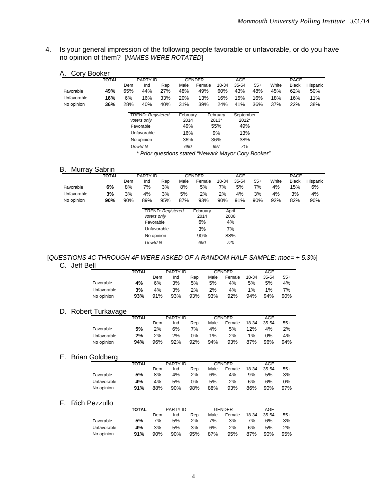4. Is your general impression of the following people favorable or unfavorable, or do you have no opinion of them? [*NAMES WERE ROTATED*]

|             | <b>TOTAL</b> |     | <b>PARTY ID</b>                                                     |     |                                | <b>GENDER</b> |                                | AGE                              |       |       | <b>RACE</b>  |          |
|-------------|--------------|-----|---------------------------------------------------------------------|-----|--------------------------------|---------------|--------------------------------|----------------------------------|-------|-------|--------------|----------|
|             |              | Dem | Ind                                                                 | Rep | Male                           | Female        | 18-34                          | 35-54                            | $55+$ | White | <b>Black</b> | Hispanic |
| Favorable   | 49%          | 65% | 44%                                                                 | 27% | 48%                            | 49%           | 60%                            | 43%                              | 48%   | 45%   | 62%          | 50%      |
| Unfavorable | 16%          | 6%  | 16%                                                                 | 33% | 20%                            | 13%           | 16%                            | 15%                              | 16%   | 18%   | 16%          | 11%      |
| No opinion  | 36%          | 28% | 40%                                                                 | 40% | 31%                            | 39%           | 24%                            | 41%                              | 36%   | 37%   | 22%          | 38%      |
|             |              |     | <b>TREND: Registered</b><br>voters only<br>Favorable<br>Unfavorable |     | February<br>2014<br>49%<br>16% |               | February<br>2013*<br>55%<br>9% | September<br>2012*<br>49%<br>13% |       |       |              |          |

No opinion 36% 36% 38% *Unwtd N 690 697 715* 

*\* Prior questions stated "Newark Mayor Cory Booker"* 

#### B. Murray Sabrin

|             | <b>TOTAL</b> |     | <b>PARTY ID</b> |     |      | <b>GENDER</b> |       | AGE   |       |       | RACE         |                 |
|-------------|--------------|-----|-----------------|-----|------|---------------|-------|-------|-------|-------|--------------|-----------------|
|             |              | Dem | Ind             | Rep | Male | Female        | 18-34 | 35-54 | $55+$ | White | <b>Black</b> | <b>Hispanic</b> |
| Favorable   | 6%           | 8%  | 7%              | 3%  | 8%   | 5%            | 7%    | 5%    | 7%    | 4%    | 15%          | 6%              |
| Unfavorable | 3%           | 3%  | 4%              | 3%  | 5%   | 2%            | 2%    | 4%    | 3%    | 4%    | 3%           | 4%              |
| No opinion  | 90%          | 90% | 89%             | 95% | 87%  | 93%           | 90%   | 91%   | 90%   | 92%   | 82%          | 90%             |

| <b>TREND: Registered</b> | February   | April      |
|--------------------------|------------|------------|
| voters only<br>Favorable | 2014<br>6% | 2008<br>4% |
| Unfavorable              | 3%         | 7%         |
| No opinion               | 90%        | 88%        |
| <b>Unwtd N</b>           | 690        | 720        |

# [*QUESTIONS 4C THROUGH 4F WERE ASKED OF A RANDOM HALF-SAMPLE: moe= + 5.3%*]

C. Jeff Bell

|             | <b>TOTAL</b> |     | <b>PARTY ID</b> |     |      | GENDER |       | AGE   |       |
|-------------|--------------|-----|-----------------|-----|------|--------|-------|-------|-------|
|             |              | Dem | Ind             | Rep | Male | Female | 18-34 | 35-54 | $55+$ |
| Favorable   | 4%           | 6%  | 3%              | 5%  | 5%   | 4%     | 5%    | 5%    | 4%    |
| Unfavorable | 3%           | 4%  | 3%              | 2%  | 2%   | 4%     | 1%    | $1\%$ | 7%    |
| No opinion  | 93%          | 91% | 93%             | 93% | 93%  | 92%    | 94%   | 94%   | 90%   |

#### D. Robert Turkavage

|             | <b>TOTAL</b> |     | PARTY ID |     |       | <b>GENDER</b> |       | AGE   |       |
|-------------|--------------|-----|----------|-----|-------|---------------|-------|-------|-------|
|             |              | Dem | Ind      | Rep | Male  | Female        | 18-34 | 35-54 | $55+$ |
| Favorable   | 5%           | 2%  | 6%       | 7%  | 4%    | 5%            | 12%   | 4%    | 2%    |
| Unfavorable | 2%           | 2%  | 2%       | 0%  | $1\%$ | 2%            | $1\%$ | 0%    | 4%    |
| No opinion  | 94%          | 96% | 92%      | 92% | 94%   | 93%           | 87%   | 96%   | 94%   |

#### E. Brian Goldberg

|             | <b>TOTAL</b> |     | PARTY ID |     |      | <b>GENDER</b> |       | AGE   |       |
|-------------|--------------|-----|----------|-----|------|---------------|-------|-------|-------|
|             |              | Dem | Ind      | Rep | Male | Female        | 18-34 | 35-54 | $55+$ |
| Favorable   | 5%           | 8%  | 4%       | 2%  | 6%   | 4%            | 9%    | 5%    | 3%    |
| Unfavorable | 4%           | 4%  | 5%       | 0%  | 5%   | 2%            | 6%    | 6%    | 0%    |
| No opinion  | 91%          | 88% | 90%      | 98% | 88%  | 93%           | 86%   | 90%   | 97%   |

### F. Rich Pezzullo

|             | <b>TOTAL</b> |     | PARTY ID |     |      | <b>GENDER</b> |       | AGE   |       |
|-------------|--------------|-----|----------|-----|------|---------------|-------|-------|-------|
|             |              | Dem | Ind      | Rep | Male | Female        | 18-34 | 35-54 | $55+$ |
| Favorable   | 5%           | 7%  | 5%       | 2%  | 7%   | 3%            | 7%    | 6%    | 3%    |
| Unfavorable | 4%           | 3%  | 5%       | 3%  | 6%   | 2%            | 6%    | 5%    | 2%    |
| No opinion  | 91%          | 90% | 90%      | 95% | 87%  | 95%           | 87%   | 90%   | 95%   |